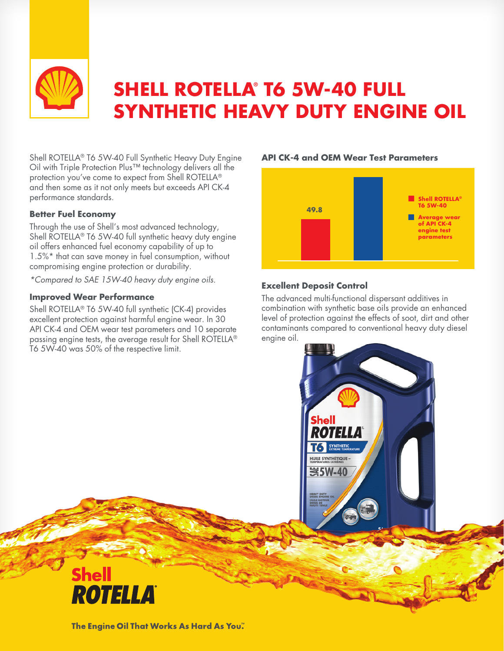

# **SHELL ROTELLA® T6 5W-40 FULL SYNTHETIC HEAVY DUTY ENGINE OIL**

Shell ROTELLA® T6 5W-40 Full Synthetic Heavy Duty Engine Oil with Triple Protection Plus™ technology delivers all the protection you've come to expect from Shell ROTELLA® and then some as it not only meets but exceeds API CK-4 performance standards.

#### **Better Fuel Economy**

Through the use of Shell's most advanced technology, Shell ROTELLA® T6 5W-40 full synthetic heavy duty engine oil offers enhanced fuel economy capability of up to 1.5%\* that can save money in fuel consumption, without compromising engine protection or durability.

*\*Compared to SAE 15W-40 heavy duty engine oils.*

#### **Improved Wear Performance**

Shell ROTELLA® T6 5W-40 full synthetic (CK-4) provides excellent protection against harmful engine wear. In 30 API CK-4 and OEM wear test parameters and 10 separate passing engine tests, the average result for Shell ROTELLA® T6 5W-40 was 50% of the respective limit.

## **n** Shell ROTELLA® **T6 5W-40 49.8 example 2 Average wear**<br> **of API CK-4 engine test parameters**

**API CK-4 and OEM Wear Test Parameters**

### **Excellent Deposit Control**

The advanced multi-functional dispersant additives in combination with synthetic base oils provide an enhanced level of protection against the effects of soot, dirt and other contaminants compared to conventional heavy duty diesel engine oil.





The Engine Oil That Works As Hard As You."